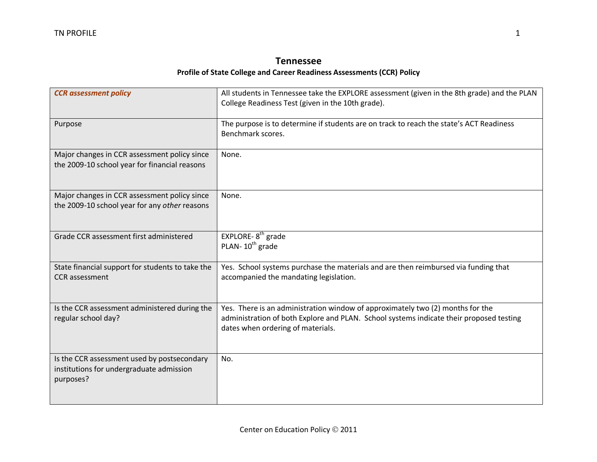## **Tennessee Profile of State College and Career Readiness Assessments (CCR) Policy**

| <b>CCR</b> assessment policy                                                                         | All students in Tennessee take the EXPLORE assessment (given in the 8th grade) and the PLAN<br>College Readiness Test (given in the 10th grade).                                                               |
|------------------------------------------------------------------------------------------------------|----------------------------------------------------------------------------------------------------------------------------------------------------------------------------------------------------------------|
| Purpose                                                                                              | The purpose is to determine if students are on track to reach the state's ACT Readiness<br>Benchmark scores.                                                                                                   |
| Major changes in CCR assessment policy since<br>the 2009-10 school year for financial reasons        | None.                                                                                                                                                                                                          |
| Major changes in CCR assessment policy since<br>the 2009-10 school year for any other reasons        | None.                                                                                                                                                                                                          |
| Grade CCR assessment first administered                                                              | EXPLORE-8 <sup>th</sup> grade<br>PLAN-10 <sup>th</sup> grade                                                                                                                                                   |
| State financial support for students to take the<br><b>CCR</b> assessment                            | Yes. School systems purchase the materials and are then reimbursed via funding that<br>accompanied the mandating legislation.                                                                                  |
| Is the CCR assessment administered during the<br>regular school day?                                 | Yes. There is an administration window of approximately two (2) months for the<br>administration of both Explore and PLAN. School systems indicate their proposed testing<br>dates when ordering of materials. |
| Is the CCR assessment used by postsecondary<br>institutions for undergraduate admission<br>purposes? | No.                                                                                                                                                                                                            |